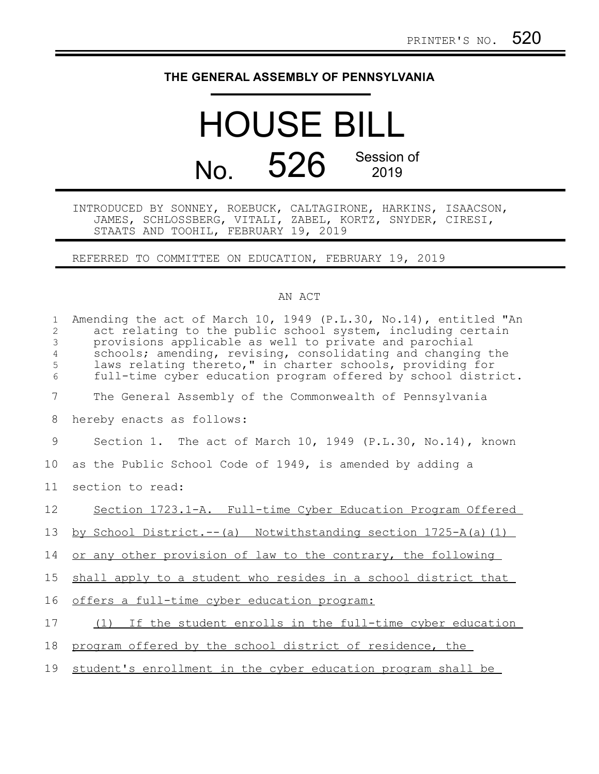## **THE GENERAL ASSEMBLY OF PENNSYLVANIA**

## HOUSE BILL No. 526 Session of

INTRODUCED BY SONNEY, ROEBUCK, CALTAGIRONE, HARKINS, ISAACSON, JAMES, SCHLOSSBERG, VITALI, ZABEL, KORTZ, SNYDER, CIRESI, STAATS AND TOOHIL, FEBRUARY 19, 2019

REFERRED TO COMMITTEE ON EDUCATION, FEBRUARY 19, 2019

## AN ACT

| $\mathbf{1}$<br>$\overline{2}$<br>3<br>$\overline{4}$<br>5<br>6 | Amending the act of March 10, 1949 (P.L.30, No.14), entitled "An<br>act relating to the public school system, including certain<br>provisions applicable as well to private and parochial<br>schools; amending, revising, consolidating and changing the<br>laws relating thereto," in charter schools, providing for<br>full-time cyber education program offered by school district. |
|-----------------------------------------------------------------|----------------------------------------------------------------------------------------------------------------------------------------------------------------------------------------------------------------------------------------------------------------------------------------------------------------------------------------------------------------------------------------|
| $\overline{7}$                                                  | The General Assembly of the Commonwealth of Pennsylvania                                                                                                                                                                                                                                                                                                                               |
| 8                                                               | hereby enacts as follows:                                                                                                                                                                                                                                                                                                                                                              |
| 9                                                               | Section 1. The act of March 10, 1949 (P.L.30, No.14), known                                                                                                                                                                                                                                                                                                                            |
| 10                                                              | as the Public School Code of 1949, is amended by adding a                                                                                                                                                                                                                                                                                                                              |
| 11                                                              | section to read:                                                                                                                                                                                                                                                                                                                                                                       |
| 12                                                              | Section 1723.1-A. Full-time Cyber Education Program Offered                                                                                                                                                                                                                                                                                                                            |
| 13                                                              | by School District.--(a) Notwithstanding section 1725-A(a)(1)                                                                                                                                                                                                                                                                                                                          |
| 14                                                              | or any other provision of law to the contrary, the following                                                                                                                                                                                                                                                                                                                           |
| 15                                                              | shall apply to a student who resides in a school district that                                                                                                                                                                                                                                                                                                                         |
| 16                                                              | offers a full-time cyber education program:                                                                                                                                                                                                                                                                                                                                            |
| 17                                                              | (1) If the student enrolls in the full-time cyber education                                                                                                                                                                                                                                                                                                                            |
| 18                                                              | program offered by the school district of residence, the                                                                                                                                                                                                                                                                                                                               |
| 19                                                              | student's enrollment in the cyber education program shall be                                                                                                                                                                                                                                                                                                                           |